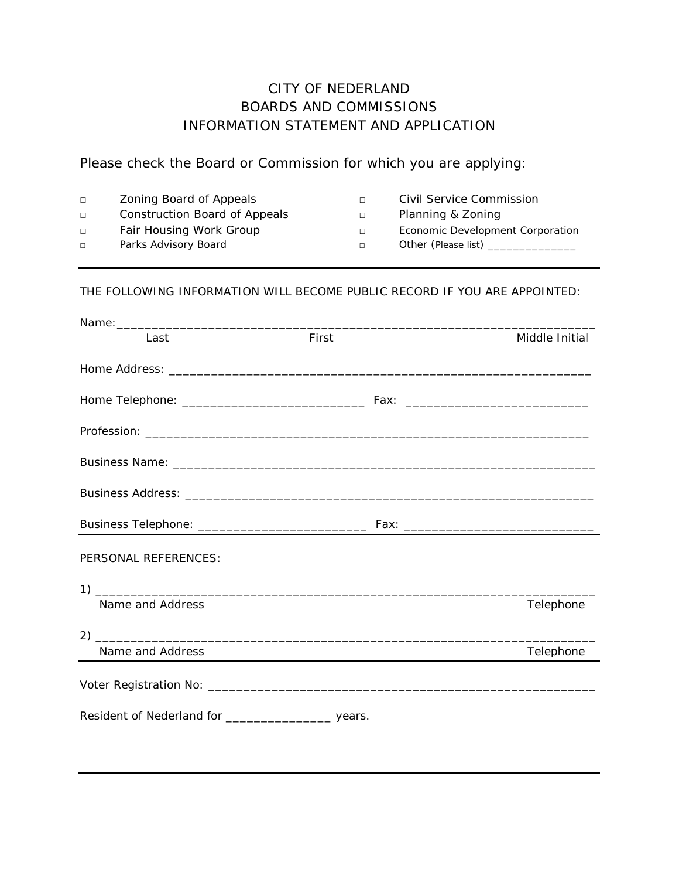## CITY OF NEDERLAND BOARDS AND COMMISSIONS INFORMATION STATEMENT AND APPLICATION

Please check the Board or Commission for which you are applying:

| $\Box$ | Zoning Board of Appeals       |        | Civil Service Commission         |
|--------|-------------------------------|--------|----------------------------------|
| $\Box$ | Construction Board of Appeals | $\Box$ | Planning & Zoning                |
| $\Box$ | Fair Housing Work Group       | $\Box$ | Economic Development Corporation |
| $\Box$ | Parks Advisory Board          | $\Box$ | Other (Please list)              |
|        |                               |        |                                  |

## THE FOLLOWING INFORMATION WILL BECOME PUBLIC RECORD IF YOU ARE APPOINTED:

| Last                 | First | Middle Initial |
|----------------------|-------|----------------|
|                      |       |                |
|                      |       |                |
|                      |       |                |
|                      |       |                |
|                      |       |                |
|                      |       |                |
| PERSONAL REFERENCES: |       |                |
|                      |       |                |
| Name and Address     |       | Telephone      |
|                      |       |                |
| Name and Address     |       | Telephone      |
|                      |       |                |
|                      |       |                |